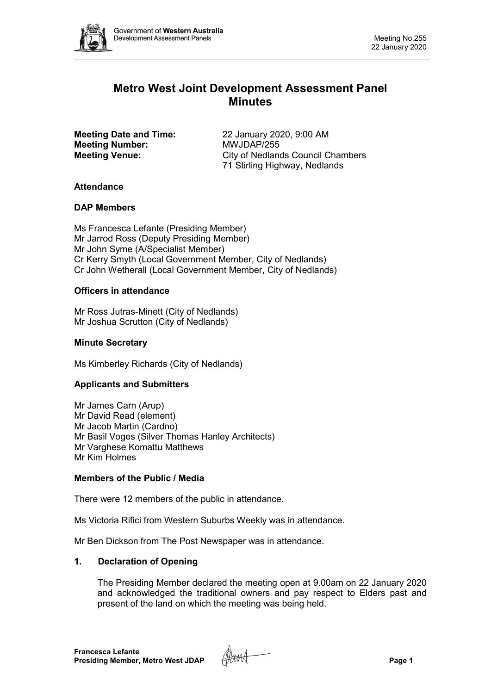

# **Metro West Joint Development Assessment Panel Minutes**

**Meeting Number:** 

**Meeting Date and Time:** 22 January 2020, 9:00 AM<br> **Meeting Number:** MWJDAP/255 **Meeting Venue:** City of Nedlands Council Chambers 71 Stirling Highway, Nedlands

## **Attendance**

## **DAP Members**

Ms Francesca Lefante (Presiding Member) Mr Jarrod Ross (Deputy Presiding Member) Mr John Syme (A/Specialist Member) Cr Kerry Smyth (Local Government Member, City of Nedlands) Cr John Wetherall (Local Government Member, City of Nedlands)

## **Officers in attendance**

Mr Ross Jutras-Minett (City of Nedlands) Mr Joshua Scrutton (City of Nedlands)

### **Minute Secretary**

Ms Kimberley Richards (City of Nedlands)

## **Applicants and Submitters**

Mr James Carn (Arup) Mr David Read (element) Mr Jacob Martin (Cardno) Mr Basil Voges (Silver Thomas Hanley Architects) Mr Varghese Komattu Matthews Mr Kim Holmes

### **Members of the Public / Media**

There were 12 members of the public in attendance.

Ms Victoria Rifici from Western Suburbs Weekly was in attendance.

Mr Ben Dickson from The Post Newspaper was in attendance.

### **1. Declaration of Opening**

The Presiding Member declared the meeting open at 9.00am on 22 January 2020 and acknowledged the traditional owners and pay respect to Elders past and present of the land on which the meeting was being held.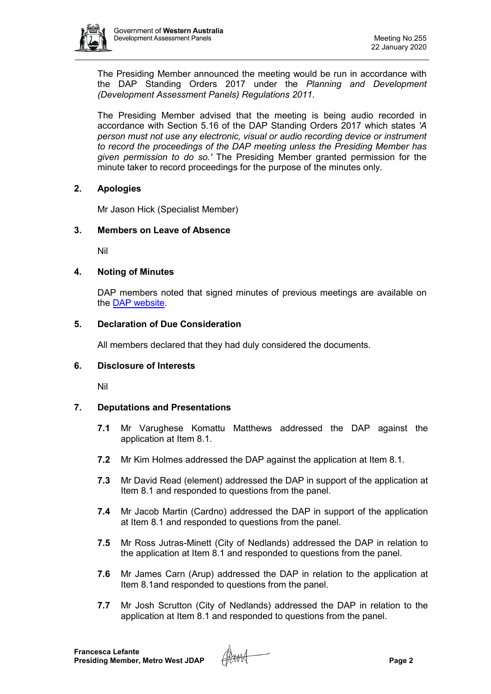

The Presiding Member announced the meeting would be run in accordance with the DAP Standing Orders 2017 under the *Planning and Development (Development Assessment Panels) Regulations 2011*.

The Presiding Member advised that the meeting is being audio recorded in accordance with Section 5.16 of the DAP Standing Orders 2017 which states *'A person must not use any electronic, visual or audio recording device or instrument to record the proceedings of the DAP meeting unless the Presiding Member has given permission to do so.'* The Presiding Member granted permission for the minute taker to record proceedings for the purpose of the minutes only.

### **2. Apologies**

Mr Jason Hick (Specialist Member)

### **3. Members on Leave of Absence**

Nil

#### **4. Noting of Minutes**

DAP members noted that signed minutes of previous meetings are available on the [DAP website.](https://www.dplh.wa.gov.au/about/development-assessment-panels/daps-agendas-and-minutes)

#### **5. Declaration of Due Consideration**

All members declared that they had duly considered the documents.

#### **6. Disclosure of Interests**

Nil

## **7. Deputations and Presentations**

- **7.1** Mr Varughese Komattu Matthews addressed the DAP against the application at Item 8.1.
- **7.2** Mr Kim Holmes addressed the DAP against the application at Item 8.1.
- **7.3** Mr David Read (element) addressed the DAP in support of the application at Item 8.1 and responded to questions from the panel.
- **7.4** Mr Jacob Martin (Cardno) addressed the DAP in support of the application at Item 8.1 and responded to questions from the panel.
- **7.5** Mr Ross Jutras-Minett (City of Nedlands) addressed the DAP in relation to the application at Item 8.1 and responded to questions from the panel.
- **7.6** Mr James Carn (Arup) addressed the DAP in relation to the application at Item 8.1and responded to questions from the panel.
- **7.7** Mr Josh Scrutton (City of Nedlands) addressed the DAP in relation to the application at Item 8.1 and responded to questions from the panel.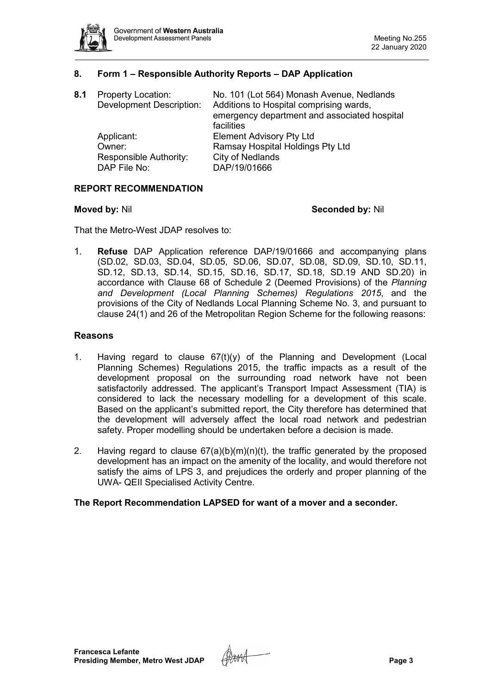

### **8. Form 1 – Responsible Authority Reports – DAP Application**

| 8.1 | <b>Property Location:</b><br><b>Development Description:</b> | No. 101 (Lot 564) Monash Avenue, Nedlands<br>Additions to Hospital comprising wards,<br>emergency department and associated hospital<br>facilities |
|-----|--------------------------------------------------------------|----------------------------------------------------------------------------------------------------------------------------------------------------|
|     | Applicant:                                                   | <b>Element Advisory Pty Ltd</b>                                                                                                                    |
|     | Owner:                                                       | Ramsay Hospital Holdings Pty Ltd                                                                                                                   |
|     | Responsible Authority:                                       | <b>City of Nedlands</b>                                                                                                                            |
|     | DAP File No:                                                 | DAP/19/01666                                                                                                                                       |

#### **REPORT RECOMMENDATION**

#### **Moved by:** Nil **Seconded by:** Nil

That the Metro-West JDAP resolves to:

1. **Refuse** DAP Application reference DAP/19/01666 and accompanying plans (SD.02, SD.03, SD.04, SD.05, SD.06, SD.07, SD.08, SD.09, SD.10, SD.11, SD.12, SD.13, SD.14, SD.15, SD.16, SD.17, SD.18, SD.19 AND SD.20) in accordance with Clause 68 of Schedule 2 (Deemed Provisions) of the *Planning and Development (Local Planning Schemes) Regulations 2015*, and the provisions of the City of Nedlands Local Planning Scheme No. 3, and pursuant to clause 24(1) and 26 of the Metropolitan Region Scheme for the following reasons:

#### **Reasons**

- 1. Having regard to clause  $67(t)(y)$  of the Planning and Development (Local Planning Schemes) Regulations 2015, the traffic impacts as a result of the development proposal on the surrounding road network have not been satisfactorily addressed. The applicant's Transport Impact Assessment (TIA) is considered to lack the necessary modelling for a development of this scale. Based on the applicant's submitted report, the City therefore has determined that the development will adversely affect the local road network and pedestrian safety. Proper modelling should be undertaken before a decision is made.
- 2. Having regard to clause  $67(a)(b)(m)(n)(t)$ , the traffic generated by the proposed development has an impact on the amenity of the locality, and would therefore not satisfy the aims of LPS 3, and prejudices the orderly and proper planning of the UWA- QEII Specialised Activity Centre.

#### **The Report Recommendation LAPSED for want of a mover and a seconder.**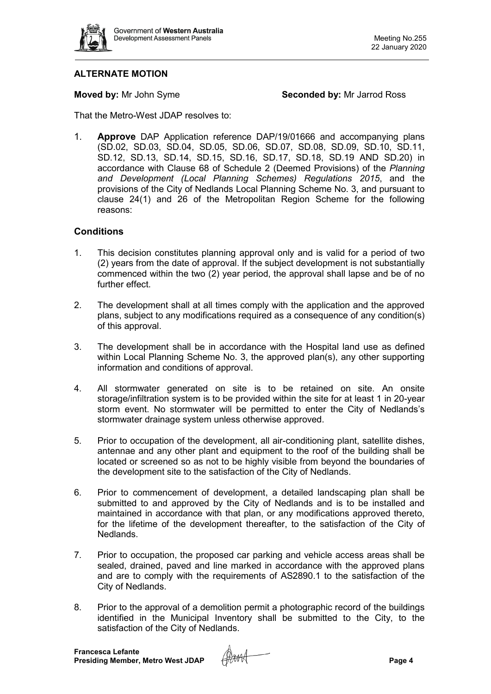

## **ALTERNATE MOTION**

**Moved by:** Mr John Syme **Seconded by:** Mr Jarrod Ross

That the Metro-West JDAP resolves to:

1. **Approve** DAP Application reference DAP/19/01666 and accompanying plans (SD.02, SD.03, SD.04, SD.05, SD.06, SD.07, SD.08, SD.09, SD.10, SD.11, SD.12, SD.13, SD.14, SD.15, SD.16, SD.17, SD.18, SD.19 AND SD.20) in accordance with Clause 68 of Schedule 2 (Deemed Provisions) of the *Planning and Development (Local Planning Schemes) Regulations 2015*, and the provisions of the City of Nedlands Local Planning Scheme No. 3, and pursuant to clause 24(1) and 26 of the Metropolitan Region Scheme for the following reasons:

### **Conditions**

- 1. This decision constitutes planning approval only and is valid for a period of two (2) years from the date of approval. If the subject development is not substantially commenced within the two (2) year period, the approval shall lapse and be of no further effect.
- 2. The development shall at all times comply with the application and the approved plans, subject to any modifications required as a consequence of any condition(s) of this approval.
- 3. The development shall be in accordance with the Hospital land use as defined within Local Planning Scheme No. 3, the approved plan(s), any other supporting information and conditions of approval.
- 4. All stormwater generated on site is to be retained on site. An onsite storage/infiltration system is to be provided within the site for at least 1 in 20-year storm event. No stormwater will be permitted to enter the City of Nedlands's stormwater drainage system unless otherwise approved.
- 5. Prior to occupation of the development, all air-conditioning plant, satellite dishes, antennae and any other plant and equipment to the roof of the building shall be located or screened so as not to be highly visible from beyond the boundaries of the development site to the satisfaction of the City of Nedlands.
- 6. Prior to commencement of development, a detailed landscaping plan shall be submitted to and approved by the City of Nedlands and is to be installed and maintained in accordance with that plan, or any modifications approved thereto, for the lifetime of the development thereafter, to the satisfaction of the City of Nedlands.
- 7. Prior to occupation, the proposed car parking and vehicle access areas shall be sealed, drained, paved and line marked in accordance with the approved plans and are to comply with the requirements of AS2890.1 to the satisfaction of the City of Nedlands.
- 8. Prior to the approval of a demolition permit a photographic record of the buildings identified in the Municipal Inventory shall be submitted to the City, to the satisfaction of the City of Nedlands.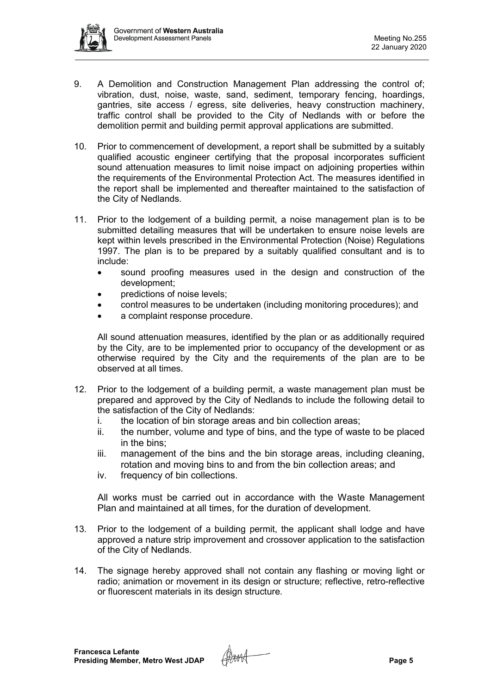

- 9. A Demolition and Construction Management Plan addressing the control of; vibration, dust, noise, waste, sand, sediment, temporary fencing, hoardings, gantries, site access / egress, site deliveries, heavy construction machinery, traffic control shall be provided to the City of Nedlands with or before the demolition permit and building permit approval applications are submitted.
- 10. Prior to commencement of development, a report shall be submitted by a suitably qualified acoustic engineer certifying that the proposal incorporates sufficient sound attenuation measures to limit noise impact on adjoining properties within the requirements of the Environmental Protection Act. The measures identified in the report shall be implemented and thereafter maintained to the satisfaction of the City of Nedlands.
- 11. Prior to the lodgement of a building permit, a noise management plan is to be submitted detailing measures that will be undertaken to ensure noise levels are kept within levels prescribed in the Environmental Protection (Noise) Regulations 1997. The plan is to be prepared by a suitably qualified consultant and is to include:
	- sound proofing measures used in the design and construction of the development;
	- predictions of noise levels:
	- control measures to be undertaken (including monitoring procedures); and
	- a complaint response procedure.

All sound attenuation measures, identified by the plan or as additionally required by the City, are to be implemented prior to occupancy of the development or as otherwise required by the City and the requirements of the plan are to be observed at all times.

- 12. Prior to the lodgement of a building permit, a waste management plan must be prepared and approved by the City of Nedlands to include the following detail to the satisfaction of the City of Nedlands:
	- i. the location of bin storage areas and bin collection areas;
	- ii. the number, volume and type of bins, and the type of waste to be placed in the bins;
	- iii. management of the bins and the bin storage areas, including cleaning, rotation and moving bins to and from the bin collection areas; and
	- iv. frequency of bin collections.

All works must be carried out in accordance with the Waste Management Plan and maintained at all times, for the duration of development.

- 13. Prior to the lodgement of a building permit, the applicant shall lodge and have approved a nature strip improvement and crossover application to the satisfaction of the City of Nedlands.
- 14. The signage hereby approved shall not contain any flashing or moving light or radio; animation or movement in its design or structure; reflective, retro-reflective or fluorescent materials in its design structure.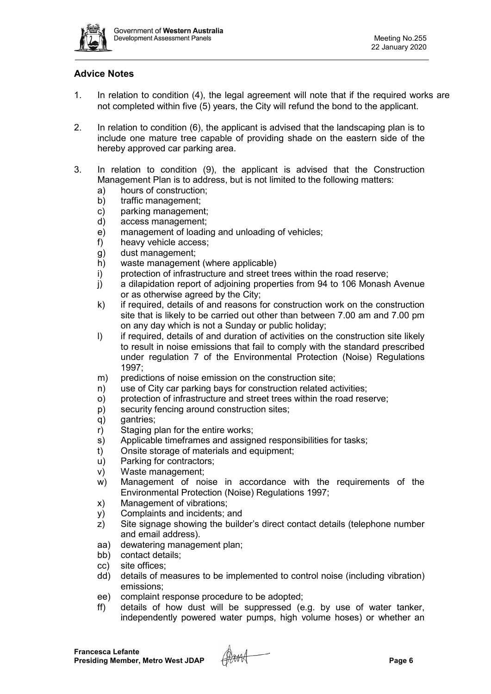

## **Advice Notes**

- 1. In relation to condition (4), the legal agreement will note that if the required works are not completed within five (5) years, the City will refund the bond to the applicant.
- 2. In relation to condition (6), the applicant is advised that the landscaping plan is to include one mature tree capable of providing shade on the eastern side of the hereby approved car parking area.
- 3. In relation to condition (9), the applicant is advised that the Construction Management Plan is to address, but is not limited to the following matters:
	- a) hours of construction;
	- b) traffic management;
	- c) parking management;
	- d) access management;
	- e) management of loading and unloading of vehicles;
	- f) heavy vehicle access;
	- g) dust management;
	- h) waste management (where applicable)
	- i) protection of infrastructure and street trees within the road reserve;
	- j) a dilapidation report of adjoining properties from 94 to 106 Monash Avenue or as otherwise agreed by the City;
	- k) if required, details of and reasons for construction work on the construction site that is likely to be carried out other than between 7.00 am and 7.00 pm on any day which is not a Sunday or public holiday;
	- I) if required, details of and duration of activities on the construction site likely to result in noise emissions that fail to comply with the standard prescribed under regulation 7 of the Environmental Protection (Noise) Regulations 1997;
	- m) predictions of noise emission on the construction site;
	- n) use of City car parking bays for construction related activities;
	- o) protection of infrastructure and street trees within the road reserve;
	- p) security fencing around construction sites;
	- q) gantries;
	- r) Staging plan for the entire works;
	- s) Applicable timeframes and assigned responsibilities for tasks;
	- t) Onsite storage of materials and equipment;
	- u) Parking for contractors;
	- v) Waste management;
	- w) Management of noise in accordance with the requirements of the Environmental Protection (Noise) Regulations 1997;
	- x) Management of vibrations;
	- y) Complaints and incidents; and
	- z) Site signage showing the builder's direct contact details (telephone number and email address).
	- aa) dewatering management plan;
	- bb) contact details;
	- cc) site offices;
	- dd) details of measures to be implemented to control noise (including vibration) emissions;
	- ee) complaint response procedure to be adopted;
	- ff) details of how dust will be suppressed (e.g. by use of water tanker, independently powered water pumps, high volume hoses) or whether an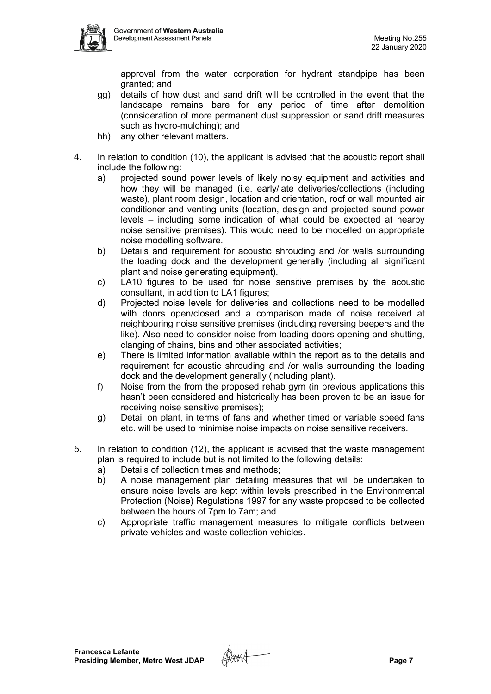approval from the water corporation for hydrant standpipe has been granted; and

- gg) details of how dust and sand drift will be controlled in the event that the landscape remains bare for any period of time after demolition (consideration of more permanent dust suppression or sand drift measures such as hydro-mulching); and
- hh) any other relevant matters.
- 4. In relation to condition (10), the applicant is advised that the acoustic report shall include the following:
	- a) projected sound power levels of likely noisy equipment and activities and how they will be managed (i.e. early/late deliveries/collections (including waste), plant room design, location and orientation, roof or wall mounted air conditioner and venting units (location, design and projected sound power levels – including some indication of what could be expected at nearby noise sensitive premises). This would need to be modelled on appropriate noise modelling software.
	- b) Details and requirement for acoustic shrouding and /or walls surrounding the loading dock and the development generally (including all significant plant and noise generating equipment).
	- c) LA10 figures to be used for noise sensitive premises by the acoustic consultant, in addition to LA1 figures;
	- d) Projected noise levels for deliveries and collections need to be modelled with doors open/closed and a comparison made of noise received at neighbouring noise sensitive premises (including reversing beepers and the like). Also need to consider noise from loading doors opening and shutting, clanging of chains, bins and other associated activities;
	- e) There is limited information available within the report as to the details and requirement for acoustic shrouding and /or walls surrounding the loading dock and the development generally (including plant).
	- f) Noise from the from the proposed rehab gym (in previous applications this hasn't been considered and historically has been proven to be an issue for receiving noise sensitive premises);
	- g) Detail on plant, in terms of fans and whether timed or variable speed fans etc. will be used to minimise noise impacts on noise sensitive receivers.
- 5. In relation to condition (12), the applicant is advised that the waste management plan is required to include but is not limited to the following details:
	- a) Details of collection times and methods;
	- b) A noise management plan detailing measures that will be undertaken to ensure noise levels are kept within levels prescribed in the Environmental Protection (Noise) Regulations 1997 for any waste proposed to be collected between the hours of 7pm to 7am; and
	- c) Appropriate traffic management measures to mitigate conflicts between private vehicles and waste collection vehicles.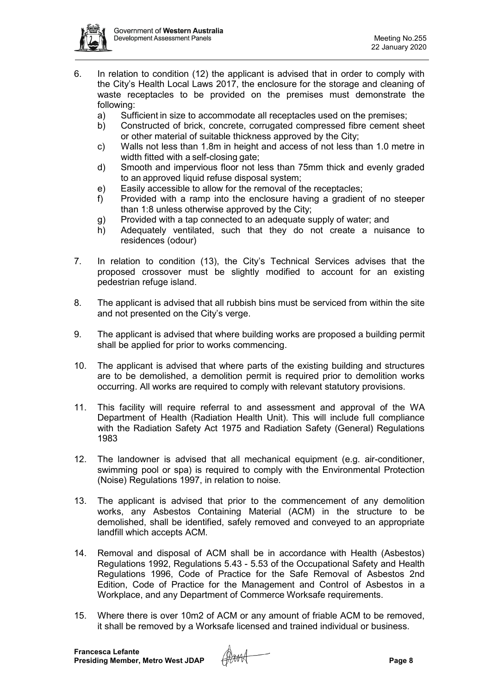

- 6. In relation to condition (12) the applicant is advised that in order to comply with the City's Health Local Laws 2017, the enclosure for the storage and cleaning of waste receptacles to be provided on the premises must demonstrate the following:
	- a) Sufficient in size to accommodate all receptacles used on the premises;
	- b) Constructed of brick, concrete, corrugated compressed fibre cement sheet or other material of suitable thickness approved by the City;
	- c) Walls not less than 1.8m in height and access of not less than 1.0 metre in width fitted with a self-closing gate;
	- d) Smooth and impervious floor not less than 75mm thick and evenly graded to an approved liquid refuse disposal system;
	- e) Easily accessible to allow for the removal of the receptacles;
	- f) Provided with a ramp into the enclosure having a gradient of no steeper than 1:8 unless otherwise approved by the City;
	- g) Provided with a tap connected to an adequate supply of water; and
	- h) Adequately ventilated, such that they do not create a nuisance to residences (odour)
- 7. In relation to condition (13), the City's Technical Services advises that the proposed crossover must be slightly modified to account for an existing pedestrian refuge island.
- 8. The applicant is advised that all rubbish bins must be serviced from within the site and not presented on the City's verge.
- 9. The applicant is advised that where building works are proposed a building permit shall be applied for prior to works commencing.
- 10. The applicant is advised that where parts of the existing building and structures are to be demolished, a demolition permit is required prior to demolition works occurring. All works are required to comply with relevant statutory provisions.
- 11. This facility will require referral to and assessment and approval of the WA Department of Health (Radiation Health Unit). This will include full compliance with the Radiation Safety Act 1975 and Radiation Safety (General) Regulations 1983
- 12. The landowner is advised that all mechanical equipment (e.g. air-conditioner, swimming pool or spa) is required to comply with the Environmental Protection (Noise) Regulations 1997, in relation to noise.
- 13. The applicant is advised that prior to the commencement of any demolition works, any Asbestos Containing Material (ACM) in the structure to be demolished, shall be identified, safely removed and conveyed to an appropriate landfill which accepts ACM.
- 14. Removal and disposal of ACM shall be in accordance with Health (Asbestos) Regulations 1992, Regulations 5.43 - 5.53 of the Occupational Safety and Health Regulations 1996, Code of Practice for the Safe Removal of Asbestos 2nd Edition, Code of Practice for the Management and Control of Asbestos in a Workplace, and any Department of Commerce Worksafe requirements.
- 15. Where there is over 10m2 of ACM or any amount of friable ACM to be removed, it shall be removed by a Worksafe licensed and trained individual or business.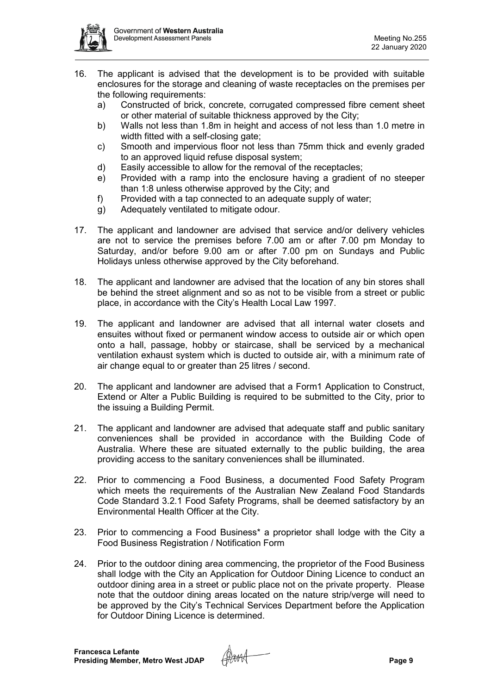

- 16. The applicant is advised that the development is to be provided with suitable enclosures for the storage and cleaning of waste receptacles on the premises per the following requirements:
	- a) Constructed of brick, concrete, corrugated compressed fibre cement sheet or other material of suitable thickness approved by the City;
	- b) Walls not less than 1.8m in height and access of not less than 1.0 metre in width fitted with a self-closing gate;
	- c) Smooth and impervious floor not less than 75mm thick and evenly graded to an approved liquid refuse disposal system;
	- d) Easily accessible to allow for the removal of the receptacles;
	- e) Provided with a ramp into the enclosure having a gradient of no steeper than 1:8 unless otherwise approved by the City; and
	- f) Provided with a tap connected to an adequate supply of water;
	- g) Adequately ventilated to mitigate odour.
- 17. The applicant and landowner are advised that service and/or delivery vehicles are not to service the premises before 7.00 am or after 7.00 pm Monday to Saturday, and/or before 9.00 am or after 7.00 pm on Sundays and Public Holidays unless otherwise approved by the City beforehand.
- 18. The applicant and landowner are advised that the location of any bin stores shall be behind the street alignment and so as not to be visible from a street or public place, in accordance with the City's Health Local Law 1997.
- 19. The applicant and landowner are advised that all internal water closets and ensuites without fixed or permanent window access to outside air or which open onto a hall, passage, hobby or staircase, shall be serviced by a mechanical ventilation exhaust system which is ducted to outside air, with a minimum rate of air change equal to or greater than 25 litres / second.
- 20. The applicant and landowner are advised that a Form1 Application to Construct, Extend or Alter a Public Building is required to be submitted to the City, prior to the issuing a Building Permit.
- 21. The applicant and landowner are advised that adequate staff and public sanitary conveniences shall be provided in accordance with the Building Code of Australia. Where these are situated externally to the public building, the area providing access to the sanitary conveniences shall be illuminated.
- 22. Prior to commencing a Food Business, a documented Food Safety Program which meets the requirements of the Australian New Zealand Food Standards Code Standard 3.2.1 Food Safety Programs, shall be deemed satisfactory by an Environmental Health Officer at the City.
- 23. Prior to commencing a Food Business\* a proprietor shall lodge with the City a Food Business Registration / Notification Form
- 24. Prior to the outdoor dining area commencing, the proprietor of the Food Business shall lodge with the City an Application for Outdoor Dining Licence to conduct an outdoor dining area in a street or public place not on the private property. Please note that the outdoor dining areas located on the nature strip/verge will need to be approved by the City's Technical Services Department before the Application for Outdoor Dining Licence is determined.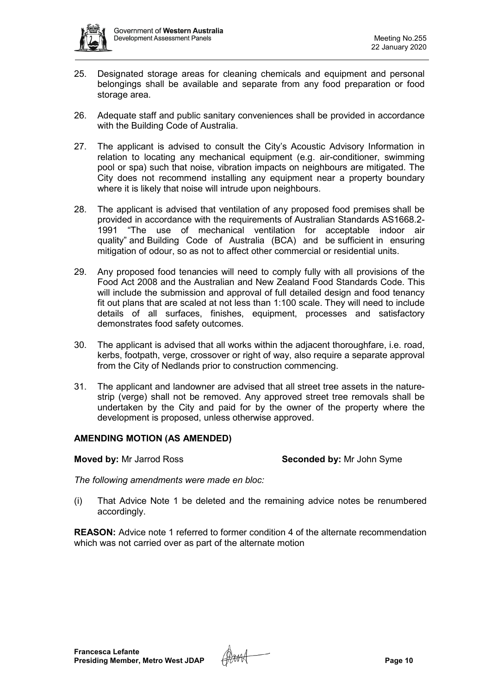

- 25. Designated storage areas for cleaning chemicals and equipment and personal belongings shall be available and separate from any food preparation or food storage area.
- 26. Adequate staff and public sanitary conveniences shall be provided in accordance with the Building Code of Australia.
- 27. The applicant is advised to consult the City's Acoustic Advisory Information in relation to locating any mechanical equipment (e.g. air-conditioner, swimming pool or spa) such that noise, vibration impacts on neighbours are mitigated. The City does not recommend installing any equipment near a property boundary where it is likely that noise will intrude upon neighbours.
- 28. The applicant is advised that ventilation of any proposed food premises shall be provided in accordance with the requirements of Australian Standards AS1668.2- 1991 "The use of mechanical ventilation for acceptable indoor air quality" and Building Code of Australia (BCA) and be sufficient in ensuring mitigation of odour, so as not to affect other commercial or residential units.
- 29. Any proposed food tenancies will need to comply fully with all provisions of the Food Act 2008 and the Australian and New Zealand Food Standards Code. This will include the submission and approval of full detailed design and food tenancy fit out plans that are scaled at not less than 1:100 scale. They will need to include details of all surfaces, finishes, equipment, processes and satisfactory demonstrates food safety outcomes.
- 30. The applicant is advised that all works within the adjacent thoroughfare, i.e. road, kerbs, footpath, verge, crossover or right of way, also require a separate approval from the City of Nedlands prior to construction commencing.
- 31. The applicant and landowner are advised that all street tree assets in the naturestrip (verge) shall not be removed. Any approved street tree removals shall be undertaken by the City and paid for by the owner of the property where the development is proposed, unless otherwise approved.

#### **AMENDING MOTION (AS AMENDED)**

**Moved by:** Mr Jarrod Ross **Seconded by:** Mr John Syme

*The following amendments were made en bloc:*

(i) That Advice Note 1 be deleted and the remaining advice notes be renumbered accordingly.

**REASON:** Advice note 1 referred to former condition 4 of the alternate recommendation which was not carried over as part of the alternate motion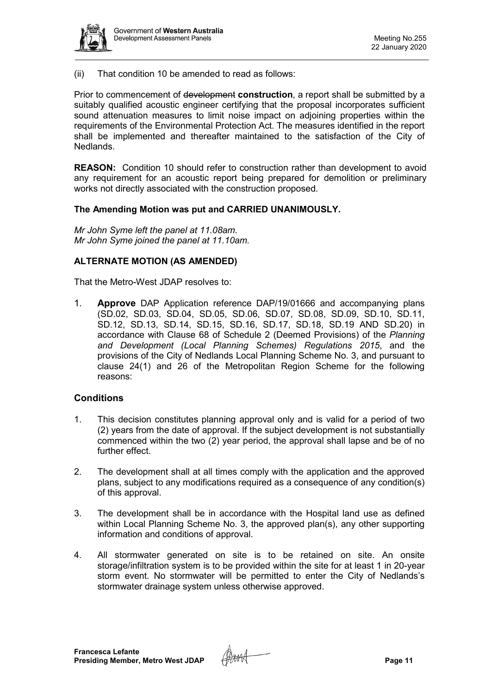

(ii) That condition 10 be amended to read as follows:

Prior to commencement of development **construction**, a report shall be submitted by a suitably qualified acoustic engineer certifying that the proposal incorporates sufficient sound attenuation measures to limit noise impact on adjoining properties within the requirements of the Environmental Protection Act. The measures identified in the report shall be implemented and thereafter maintained to the satisfaction of the City of Nedlands.

**REASON:** Condition 10 should refer to construction rather than development to avoid any requirement for an acoustic report being prepared for demolition or preliminary works not directly associated with the construction proposed.

#### **The Amending Motion was put and CARRIED UNANIMOUSLY.**

*Mr John Syme left the panel at 11.08am. Mr John Syme joined the panel at 11.10am.*

#### **ALTERNATE MOTION (AS AMENDED)**

That the Metro-West JDAP resolves to:

1. **Approve** DAP Application reference DAP/19/01666 and accompanying plans (SD.02, SD.03, SD.04, SD.05, SD.06, SD.07, SD.08, SD.09, SD.10, SD.11, SD.12, SD.13, SD.14, SD.15, SD.16, SD.17, SD.18, SD.19 AND SD.20) in accordance with Clause 68 of Schedule 2 (Deemed Provisions) of the *Planning and Development (Local Planning Schemes) Regulations 2015*, and the provisions of the City of Nedlands Local Planning Scheme No. 3, and pursuant to clause 24(1) and 26 of the Metropolitan Region Scheme for the following reasons:

#### **Conditions**

- 1. This decision constitutes planning approval only and is valid for a period of two (2) years from the date of approval. If the subject development is not substantially commenced within the two (2) year period, the approval shall lapse and be of no further effect.
- 2. The development shall at all times comply with the application and the approved plans, subject to any modifications required as a consequence of any condition(s) of this approval.
- 3. The development shall be in accordance with the Hospital land use as defined within Local Planning Scheme No. 3, the approved plan(s), any other supporting information and conditions of approval.
- 4. All stormwater generated on site is to be retained on site. An onsite storage/infiltration system is to be provided within the site for at least 1 in 20-year storm event. No stormwater will be permitted to enter the City of Nedlands's stormwater drainage system unless otherwise approved.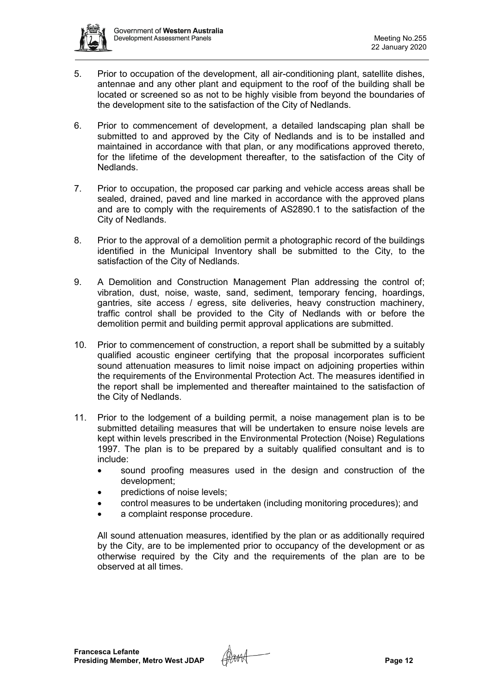

- 5. Prior to occupation of the development, all air-conditioning plant, satellite dishes, antennae and any other plant and equipment to the roof of the building shall be located or screened so as not to be highly visible from beyond the boundaries of the development site to the satisfaction of the City of Nedlands.
- 6. Prior to commencement of development, a detailed landscaping plan shall be submitted to and approved by the City of Nedlands and is to be installed and maintained in accordance with that plan, or any modifications approved thereto, for the lifetime of the development thereafter, to the satisfaction of the City of Nedlands.
- 7. Prior to occupation, the proposed car parking and vehicle access areas shall be sealed, drained, paved and line marked in accordance with the approved plans and are to comply with the requirements of AS2890.1 to the satisfaction of the City of Nedlands.
- 8. Prior to the approval of a demolition permit a photographic record of the buildings identified in the Municipal Inventory shall be submitted to the City, to the satisfaction of the City of Nedlands.
- 9. A Demolition and Construction Management Plan addressing the control of; vibration, dust, noise, waste, sand, sediment, temporary fencing, hoardings, gantries, site access / egress, site deliveries, heavy construction machinery, traffic control shall be provided to the City of Nedlands with or before the demolition permit and building permit approval applications are submitted.
- 10. Prior to commencement of construction, a report shall be submitted by a suitably qualified acoustic engineer certifying that the proposal incorporates sufficient sound attenuation measures to limit noise impact on adjoining properties within the requirements of the Environmental Protection Act. The measures identified in the report shall be implemented and thereafter maintained to the satisfaction of the City of Nedlands.
- 11. Prior to the lodgement of a building permit, a noise management plan is to be submitted detailing measures that will be undertaken to ensure noise levels are kept within levels prescribed in the Environmental Protection (Noise) Regulations 1997. The plan is to be prepared by a suitably qualified consultant and is to include:
	- sound proofing measures used in the design and construction of the development;
	- predictions of noise levels;
	- control measures to be undertaken (including monitoring procedures); and
	- a complaint response procedure.

All sound attenuation measures, identified by the plan or as additionally required by the City, are to be implemented prior to occupancy of the development or as otherwise required by the City and the requirements of the plan are to be observed at all times.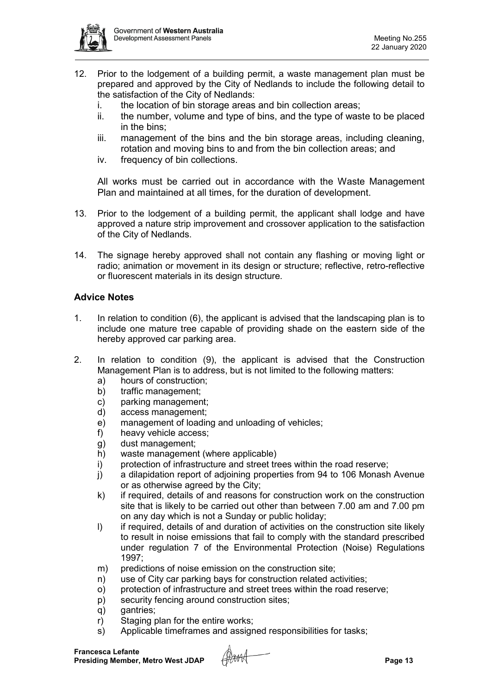

- 12. Prior to the lodgement of a building permit, a waste management plan must be prepared and approved by the City of Nedlands to include the following detail to the satisfaction of the City of Nedlands:
	- i. the location of bin storage areas and bin collection areas;
	- ii. the number, volume and type of bins, and the type of waste to be placed in the bins;
	- iii. management of the bins and the bin storage areas, including cleaning, rotation and moving bins to and from the bin collection areas; and
	- iv. frequency of bin collections.

All works must be carried out in accordance with the Waste Management Plan and maintained at all times, for the duration of development.

- 13. Prior to the lodgement of a building permit, the applicant shall lodge and have approved a nature strip improvement and crossover application to the satisfaction of the City of Nedlands.
- 14. The signage hereby approved shall not contain any flashing or moving light or radio; animation or movement in its design or structure; reflective, retro-reflective or fluorescent materials in its design structure.

## **Advice Notes**

- 1. In relation to condition (6), the applicant is advised that the landscaping plan is to include one mature tree capable of providing shade on the eastern side of the hereby approved car parking area.
- 2. In relation to condition (9), the applicant is advised that the Construction Management Plan is to address, but is not limited to the following matters:
	- a) hours of construction;
	- b) traffic management;
	- c) parking management;
	- d) access management;
	- e) management of loading and unloading of vehicles;
	- f) heavy vehicle access;
	- g) dust management;
	- h) waste management (where applicable)
	- i) protection of infrastructure and street trees within the road reserve;
	- j) a dilapidation report of adjoining properties from 94 to 106 Monash Avenue or as otherwise agreed by the City;
	- k) if required, details of and reasons for construction work on the construction site that is likely to be carried out other than between 7.00 am and 7.00 pm on any day which is not a Sunday or public holiday;
	- I) if required, details of and duration of activities on the construction site likely to result in noise emissions that fail to comply with the standard prescribed under regulation 7 of the Environmental Protection (Noise) Regulations 1997;
	- m) predictions of noise emission on the construction site;
	- n) use of City car parking bays for construction related activities;
	- o) protection of infrastructure and street trees within the road reserve;
	- p) security fencing around construction sites;
	- q) gantries;
	- r) Staging plan for the entire works;
	- s) Applicable timeframes and assigned responsibilities for tasks;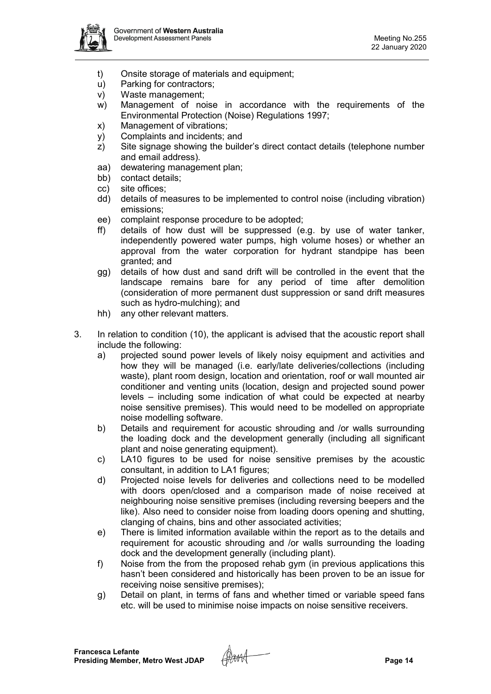

- t) Onsite storage of materials and equipment;
- u) Parking for contractors;
- v) Waste management;
- w) Management of noise in accordance with the requirements of the Environmental Protection (Noise) Regulations 1997;
- x) Management of vibrations;
- y) Complaints and incidents; and
- z) Site signage showing the builder's direct contact details (telephone number and email address).
- aa) dewatering management plan;
- bb) contact details;
- cc) site offices;
- dd) details of measures to be implemented to control noise (including vibration) emissions;
- ee) complaint response procedure to be adopted;
- ff) details of how dust will be suppressed (e.g. by use of water tanker, independently powered water pumps, high volume hoses) or whether an approval from the water corporation for hydrant standpipe has been granted; and
- gg) details of how dust and sand drift will be controlled in the event that the landscape remains bare for any period of time after demolition (consideration of more permanent dust suppression or sand drift measures such as hydro-mulching); and
- hh) any other relevant matters.
- 3. In relation to condition (10), the applicant is advised that the acoustic report shall include the following:
	- a) projected sound power levels of likely noisy equipment and activities and how they will be managed (i.e. early/late deliveries/collections (including waste), plant room design, location and orientation, roof or wall mounted air conditioner and venting units (location, design and projected sound power levels – including some indication of what could be expected at nearby noise sensitive premises). This would need to be modelled on appropriate noise modelling software.
	- b) Details and requirement for acoustic shrouding and /or walls surrounding the loading dock and the development generally (including all significant plant and noise generating equipment).
	- c) LA10 figures to be used for noise sensitive premises by the acoustic consultant, in addition to LA1 figures;
	- d) Projected noise levels for deliveries and collections need to be modelled with doors open/closed and a comparison made of noise received at neighbouring noise sensitive premises (including reversing beepers and the like). Also need to consider noise from loading doors opening and shutting, clanging of chains, bins and other associated activities;
	- e) There is limited information available within the report as to the details and requirement for acoustic shrouding and /or walls surrounding the loading dock and the development generally (including plant).
	- f) Noise from the from the proposed rehab gym (in previous applications this hasn't been considered and historically has been proven to be an issue for receiving noise sensitive premises);
	- g) Detail on plant, in terms of fans and whether timed or variable speed fans etc. will be used to minimise noise impacts on noise sensitive receivers.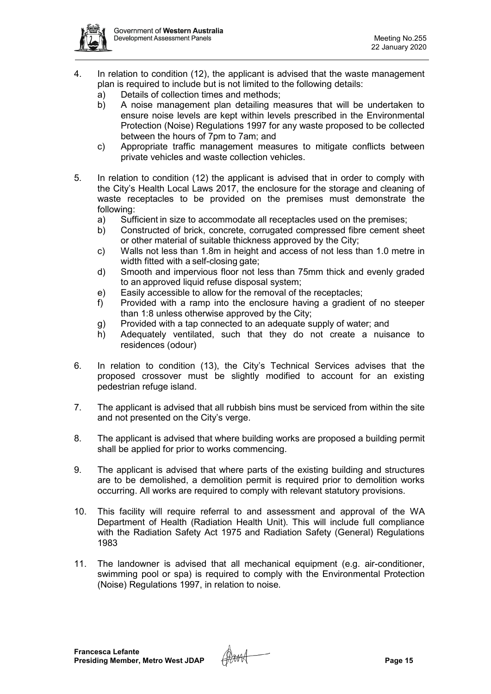

- 4. In relation to condition (12), the applicant is advised that the waste management plan is required to include but is not limited to the following details:
	- a) Details of collection times and methods;
	- b) A noise management plan detailing measures that will be undertaken to ensure noise levels are kept within levels prescribed in the Environmental Protection (Noise) Regulations 1997 for any waste proposed to be collected between the hours of 7pm to 7am; and
	- c) Appropriate traffic management measures to mitigate conflicts between private vehicles and waste collection vehicles.
- 5. In relation to condition (12) the applicant is advised that in order to comply with the City's Health Local Laws 2017, the enclosure for the storage and cleaning of waste receptacles to be provided on the premises must demonstrate the following:
	- a) Sufficient in size to accommodate all receptacles used on the premises;
	- b) Constructed of brick, concrete, corrugated compressed fibre cement sheet or other material of suitable thickness approved by the City;
	- c) Walls not less than 1.8m in height and access of not less than 1.0 metre in width fitted with a self-closing gate;
	- d) Smooth and impervious floor not less than 75mm thick and evenly graded to an approved liquid refuse disposal system;
	- e) Easily accessible to allow for the removal of the receptacles;
	- f) Provided with a ramp into the enclosure having a gradient of no steeper than 1:8 unless otherwise approved by the City;
	- g) Provided with a tap connected to an adequate supply of water; and
	- h) Adequately ventilated, such that they do not create a nuisance to residences (odour)
- 6. In relation to condition (13), the City's Technical Services advises that the proposed crossover must be slightly modified to account for an existing pedestrian refuge island.
- 7. The applicant is advised that all rubbish bins must be serviced from within the site and not presented on the City's verge.
- 8. The applicant is advised that where building works are proposed a building permit shall be applied for prior to works commencing.
- 9. The applicant is advised that where parts of the existing building and structures are to be demolished, a demolition permit is required prior to demolition works occurring. All works are required to comply with relevant statutory provisions.
- 10. This facility will require referral to and assessment and approval of the WA Department of Health (Radiation Health Unit). This will include full compliance with the Radiation Safety Act 1975 and Radiation Safety (General) Regulations 1983
- 11. The landowner is advised that all mechanical equipment (e.g. air-conditioner, swimming pool or spa) is required to comply with the Environmental Protection (Noise) Regulations 1997, in relation to noise.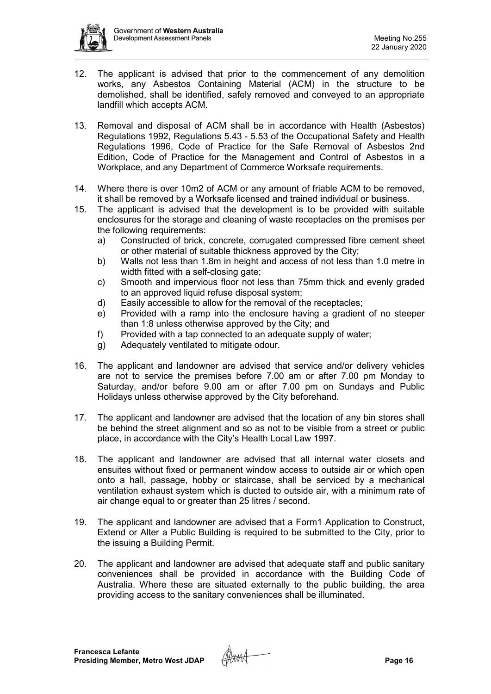

- 12. The applicant is advised that prior to the commencement of any demolition works, any Asbestos Containing Material (ACM) in the structure to be demolished, shall be identified, safely removed and conveyed to an appropriate landfill which accepts ACM.
- 13. Removal and disposal of ACM shall be in accordance with Health (Asbestos) Regulations 1992, Regulations 5.43 - 5.53 of the Occupational Safety and Health Regulations 1996, Code of Practice for the Safe Removal of Asbestos 2nd Edition, Code of Practice for the Management and Control of Asbestos in a Workplace, and any Department of Commerce Worksafe requirements.
- 14. Where there is over 10m2 of ACM or any amount of friable ACM to be removed, it shall be removed by a Worksafe licensed and trained individual or business.
- 15. The applicant is advised that the development is to be provided with suitable enclosures for the storage and cleaning of waste receptacles on the premises per the following requirements:
	- a) Constructed of brick, concrete, corrugated compressed fibre cement sheet or other material of suitable thickness approved by the City;
	- b) Walls not less than 1.8m in height and access of not less than 1.0 metre in width fitted with a self-closing gate;
	- c) Smooth and impervious floor not less than 75mm thick and evenly graded to an approved liquid refuse disposal system;
	- d) Easily accessible to allow for the removal of the receptacles;
	- e) Provided with a ramp into the enclosure having a gradient of no steeper than 1:8 unless otherwise approved by the City; and
	- f) Provided with a tap connected to an adequate supply of water;
	- g) Adequately ventilated to mitigate odour.
- 16. The applicant and landowner are advised that service and/or delivery vehicles are not to service the premises before 7.00 am or after 7.00 pm Monday to Saturday, and/or before 9.00 am or after 7.00 pm on Sundays and Public Holidays unless otherwise approved by the City beforehand.
- 17. The applicant and landowner are advised that the location of any bin stores shall be behind the street alignment and so as not to be visible from a street or public place, in accordance with the City's Health Local Law 1997.
- 18. The applicant and landowner are advised that all internal water closets and ensuites without fixed or permanent window access to outside air or which open onto a hall, passage, hobby or staircase, shall be serviced by a mechanical ventilation exhaust system which is ducted to outside air, with a minimum rate of air change equal to or greater than 25 litres / second.
- 19. The applicant and landowner are advised that a Form1 Application to Construct, Extend or Alter a Public Building is required to be submitted to the City, prior to the issuing a Building Permit.
- 20. The applicant and landowner are advised that adequate staff and public sanitary conveniences shall be provided in accordance with the Building Code of Australia. Where these are situated externally to the public building, the area providing access to the sanitary conveniences shall be illuminated.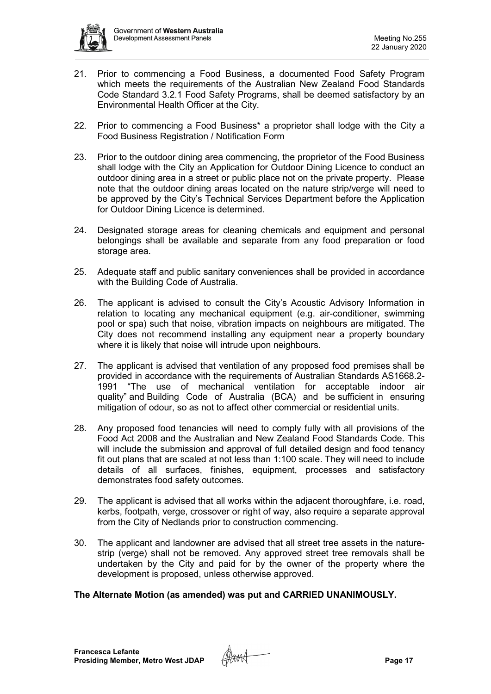

- 21. Prior to commencing a Food Business, a documented Food Safety Program which meets the requirements of the Australian New Zealand Food Standards Code Standard 3.2.1 Food Safety Programs, shall be deemed satisfactory by an Environmental Health Officer at the City.
- 22. Prior to commencing a Food Business\* a proprietor shall lodge with the City a Food Business Registration / Notification Form
- 23. Prior to the outdoor dining area commencing, the proprietor of the Food Business shall lodge with the City an Application for Outdoor Dining Licence to conduct an outdoor dining area in a street or public place not on the private property. Please note that the outdoor dining areas located on the nature strip/verge will need to be approved by the City's Technical Services Department before the Application for Outdoor Dining Licence is determined.
- 24. Designated storage areas for cleaning chemicals and equipment and personal belongings shall be available and separate from any food preparation or food storage area.
- 25. Adequate staff and public sanitary conveniences shall be provided in accordance with the Building Code of Australia.
- 26. The applicant is advised to consult the City's Acoustic Advisory Information in relation to locating any mechanical equipment (e.g. air-conditioner, swimming pool or spa) such that noise, vibration impacts on neighbours are mitigated. The City does not recommend installing any equipment near a property boundary where it is likely that noise will intrude upon neighbours.
- 27. The applicant is advised that ventilation of any proposed food premises shall be provided in accordance with the requirements of Australian Standards AS1668.2- 1991 "The use of mechanical ventilation for acceptable indoor air quality" and Building Code of Australia (BCA) and be sufficient in ensuring mitigation of odour, so as not to affect other commercial or residential units.
- 28. Any proposed food tenancies will need to comply fully with all provisions of the Food Act 2008 and the Australian and New Zealand Food Standards Code. This will include the submission and approval of full detailed design and food tenancy fit out plans that are scaled at not less than 1:100 scale. They will need to include details of all surfaces, finishes, equipment, processes and satisfactory demonstrates food safety outcomes.
- 29. The applicant is advised that all works within the adjacent thoroughfare, i.e. road, kerbs, footpath, verge, crossover or right of way, also require a separate approval from the City of Nedlands prior to construction commencing.
- 30. The applicant and landowner are advised that all street tree assets in the naturestrip (verge) shall not be removed. Any approved street tree removals shall be undertaken by the City and paid for by the owner of the property where the development is proposed, unless otherwise approved.

### **The Alternate Motion (as amended) was put and CARRIED UNANIMOUSLY.**